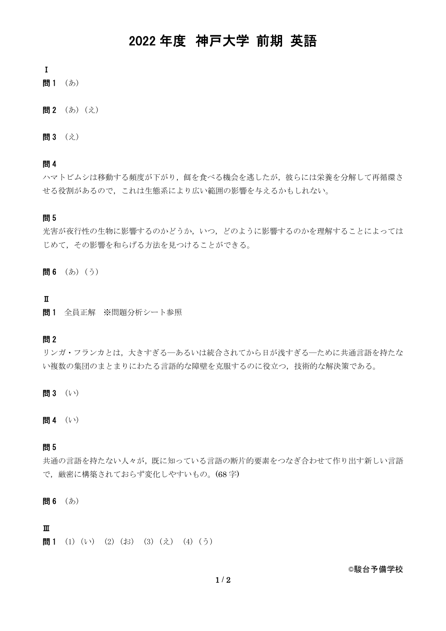# 2022 年度 神戸大学 前期 英語

Ⅰ

- 問1 (あ)
- 問2 (あ) (え)
- 問3 (え)

### 問 4

ハマトビムシは移動する頻度が下がり,餌を食べる機会を逃したが,彼らには栄養を分解して再循環さ せる役割があるので,これは生態系により広い範囲の影響を与えるかもしれない。

### 問 5

光害が夜行性の生物に影響するのかどうか,いつ,どのように影響するのかを理解することによっては じめて,その影響を和らげる方法を見つけることができる。

問6 (あ) (う)

#### Ⅱ

問1 全員正解 ※問題分析シート参照

#### 問 2

リンガ・フランカとは,大きすぎる―あるいは統合されてから日が浅すぎる―ために共通言語を持たな い複数の集団のまとまりにわたる言語的な障壁を克服するのに役立つ,技術的な解決策である。

問 3 (い)

問 4 (い)

### 問 5

共通の言語を持たない人々が,既に知っている言語の断片的要素をつなぎ合わせて作り出す新しい言語 で、厳密に構築されておらず変化しやすいもの。(68字)

問6 (あ)

### Ⅲ

問1 (1) (い) (2) (お) (3) (え) (4) (う)

©駿台予備学校